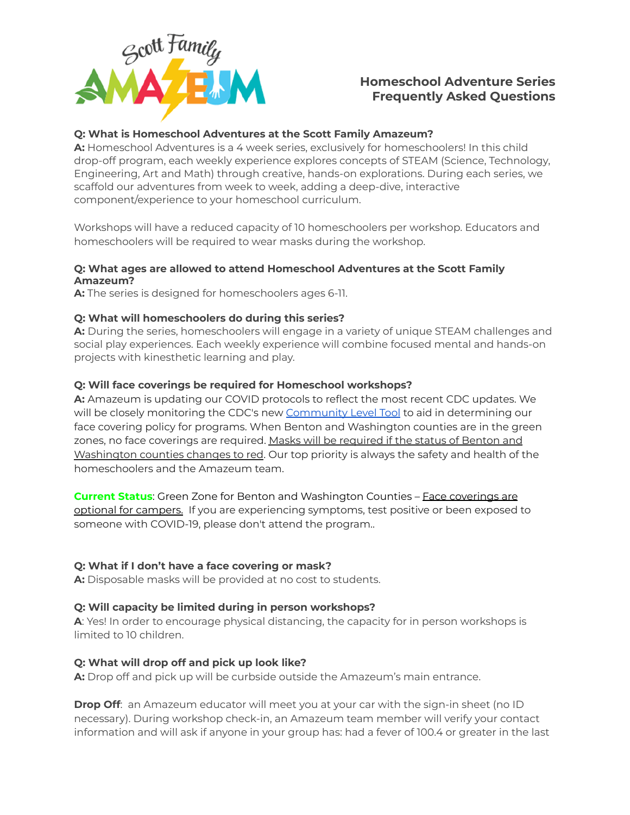

# **Homeschool Adventure Series Frequently Asked Questions**

## **Q: What is Homeschool Adventures at the Scott Family Amazeum?**

**A:** Homeschool Adventures is a 4 week series, exclusively for homeschoolers! In this child drop-off program, each weekly experience explores concepts of STEAM (Science, Technology, Engineering, Art and Math) through creative, hands-on explorations. During each series, we scaffold our adventures from week to week, adding a deep-dive, interactive component/experience to your homeschool curriculum.

Workshops will have a reduced capacity of 10 homeschoolers per workshop. Educators and homeschoolers will be required to wear masks during the workshop.

## **Q: What ages are allowed to attend Homeschool Adventures at the Scott Family Amazeum?**

**A:** The series is designed for homeschoolers ages 6-11.

## **Q: What will homeschoolers do during this series?**

**A:** During the series, homeschoolers will engage in a variety of unique STEAM challenges and social play experiences. Each weekly experience will combine focused mental and hands-on projects with kinesthetic learning and play.

## **Q: Will face coverings be required for Homeschool workshops?**

**A:** Amazeum is updating our COVID protocols to reflect the most recent CDC updates. We will be closely monitoring the CDC's new [Community](https://www.cdc.gov/coronavirus/2019-ncov/your-health/covid-by-county.html) Level Tool to aid in determining our face covering policy for programs. When Benton and Washington counties are in the green zones, no face coverings are required. Masks will be required if the status of Benton and Washington counties changes to red. Our top priority is always the safety and health of the homeschoolers and the Amazeum team.

**Current Status:** Green Zone for Benton and Washington Counties – Face coverings are optional for campers. If you are experiencing symptoms, test positive or been exposed to someone with COVID-19, please don't attend the program..

## **Q: What if I don't have a face covering or mask?**

**A:** Disposable masks will be provided at no cost to students.

## **Q: Will capacity be limited during in person workshops?**

**A**: Yes! In order to encourage physical distancing, the capacity for in person workshops is limited to 10 children.

## **Q: What will drop off and pick up look like?**

**A:** Drop off and pick up will be curbside outside the Amazeum's main entrance.

**Drop Off**: an Amazeum educator will meet you at your car with the sign-in sheet (no ID necessary). During workshop check-in, an Amazeum team member will verify your contact information and will ask if anyone in your group has: had a fever of 100.4 or greater in the last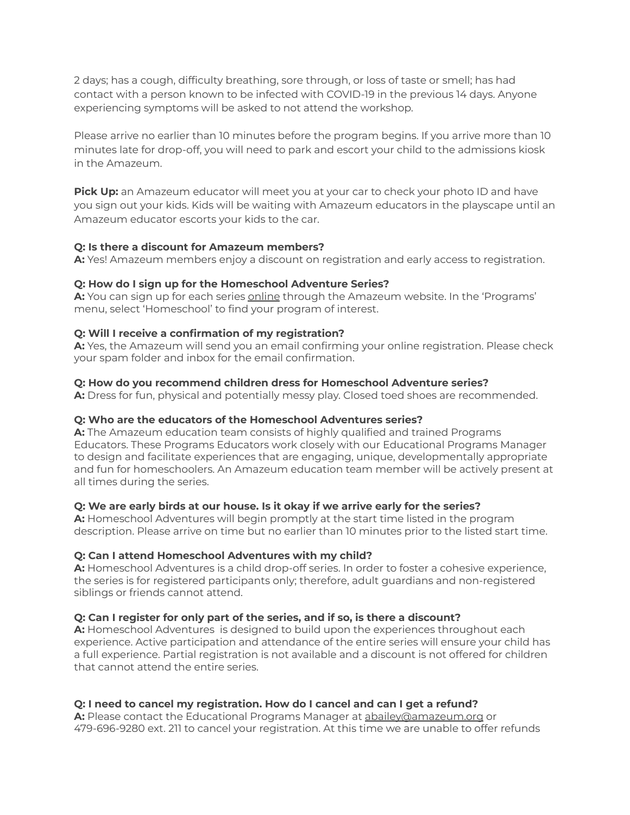2 days; has a cough, difficulty breathing, sore through, or loss of taste or smell; has had contact with a person known to be infected with COVID-19 in the previous 14 days. Anyone experiencing symptoms will be asked to not attend the workshop.

Please arrive no earlier than 10 minutes before the program begins. If you arrive more than 10 minutes late for drop-off, you will need to park and escort your child to the admissions kiosk in the Amazeum.

**Pick Up:** an Amazeum educator will meet you at your car to check your photo ID and have you sign out your kids. Kids will be waiting with Amazeum educators in the playscape until an Amazeum educator escorts your kids to the car.

## **Q: Is there a discount for Amazeum members?**

**A:** Yes! Amazeum members enjoy a discount on registration and early access to registration.

## **Q: How do I sign up for the Homeschool Adventure Series?**

**A:** You can sign up for each series [online](https://www.amazeum.org/programs/homeschool/) through the Amazeum website. In the 'Programs' menu, select 'Homeschool' to find your program of interest.

## **Q: Will I receive a confirmation of my registration?**

**A:** Yes, the Amazeum will send you an email confirming your online registration. Please check your spam folder and inbox for the email confirmation.

## **Q: How do you recommend children dress for Homeschool Adventure series?**

**A:** Dress for fun, physical and potentially messy play. Closed toed shoes are recommended.

## **Q: Who are the educators of the Homeschool Adventures series?**

**A:** The Amazeum education team consists of highly qualified and trained Programs Educators. These Programs Educators work closely with our Educational Programs Manager to design and facilitate experiences that are engaging, unique, developmentally appropriate and fun for homeschoolers. An Amazeum education team member will be actively present at all times during the series.

# **Q: We are early birds at our house. Is it okay if we arrive early for the series?**

**A:** Homeschool Adventures will begin promptly at the start time listed in the program description. Please arrive on time but no earlier than 10 minutes prior to the listed start time.

## **Q: Can I attend Homeschool Adventures with my child?**

**A:** Homeschool Adventures is a child drop-off series. In order to foster a cohesive experience, the series is for registered participants only; therefore, adult guardians and non-registered siblings or friends cannot attend.

# **Q: Can I register for only part of the series, and if so, is there a discount?**

**A:** Homeschool Adventures is designed to build upon the experiences throughout each experience. Active participation and attendance of the entire series will ensure your child has a full experience. Partial registration is not available and a discount is not offered for children that cannot attend the entire series.

# **Q: I need to cancel my registration. How do I cancel and can I get a refund?**

**A:** Please contact the Educational Programs Manager at [abailey@amazeum.org](mailto:abailey@amazeum.org) or 479-696-9280 ext. 211 to cancel your registration. At this time we are unable to offer refunds